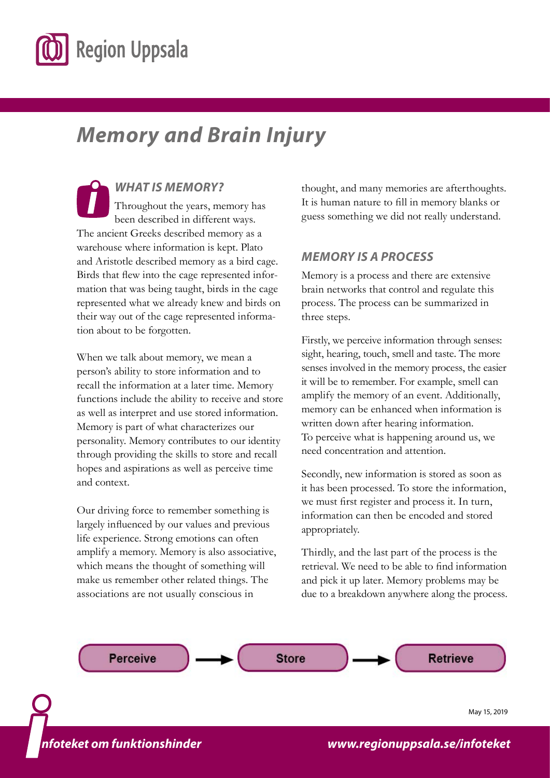

# *Memory and Brain Injury*

*WHAT IS MEMORY?* Throughout the years, memory has been described in different ways. The ancient Greeks described memory as a warehouse where information is kept. Plato and Aristotle described memory as a bird cage. Birds that flew into the cage represented information that was being taught, birds in the cage represented what we already knew and birds on their way out of the cage represented information about to be forgotten.

When we talk about memory, we mean a person's ability to store information and to recall the information at a later time. Memory functions include the ability to receive and store as well as interpret and use stored information. Memory is part of what characterizes our personality. Memory contributes to our identity through providing the skills to store and recall hopes and aspirations as well as perceive time and context.

Our driving force to remember something is largely influenced by our values and previous life experience. Strong emotions can often amplify a memory. Memory is also associative, which means the thought of something will make us remember other related things. The associations are not usually conscious in

thought, and many memories are afterthoughts. It is human nature to fill in memory blanks or guess something we did not really understand.

# *MEMORY IS A PROCESS*

Memory is a process and there are extensive brain networks that control and regulate this process. The process can be summarized in three steps.

Firstly, we perceive information through senses: sight, hearing, touch, smell and taste. The more senses involved in the memory process, the easier it will be to remember. For example, smell can amplify the memory of an event. Additionally, memory can be enhanced when information is written down after hearing information. To perceive what is happening around us, we need concentration and attention.

Secondly, new information is stored as soon as it has been processed. To store the information, we must first register and process it. In turn, information can then be encoded and stored appropriately.

Thirdly, and the last part of the process is the retrieval. We need to be able to find information and pick it up later. Memory problems may be due to a breakdown anywhere along the process.



*i nfoteket om funktionshinder*

*www.lul.se/infoteket [www.regionuppsala.se/infoteket](https://regionuppsala.se/infoteket)*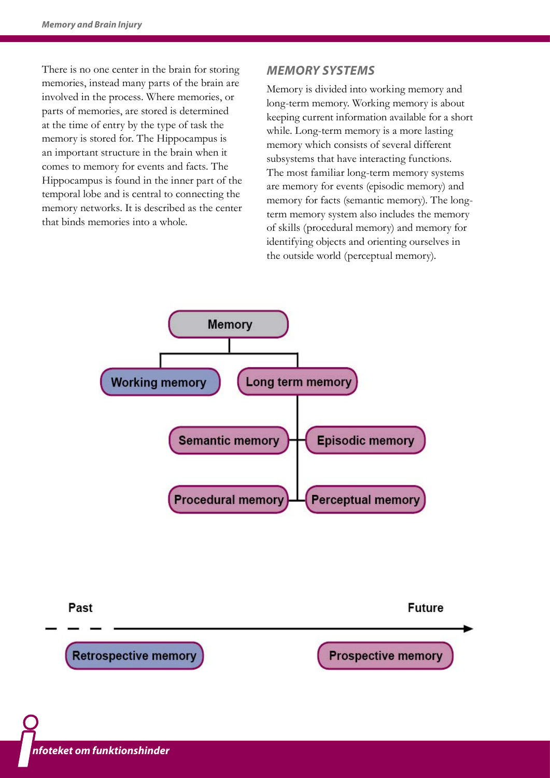There is no one center in the brain for storing memories, instead many parts of the brain are involved in the process. Where memories, or parts of memories, are stored is determined at the time of entry by the type of task the memory is stored for. The Hippocampus is an important structure in the brain when it comes to memory for events and facts. The Hippocampus is found in the inner part of the temporal lobe and is central to connecting the memory networks. It is described as the center that binds memories into a whole.

### *MEMORY SYSTEMS*

Memory is divided into working memory and long-term memory. Working memory is about keeping current information available for a short while. Long-term memory is a more lasting memory which consists of several different subsystems that have interacting functions. The most familiar long-term memory systems are memory for events (episodic memory) and memory for facts (semantic memory). The longterm memory system also includes the memory of skills (procedural memory) and memory for identifying objects and orienting ourselves in the outside world (perceptual memory).



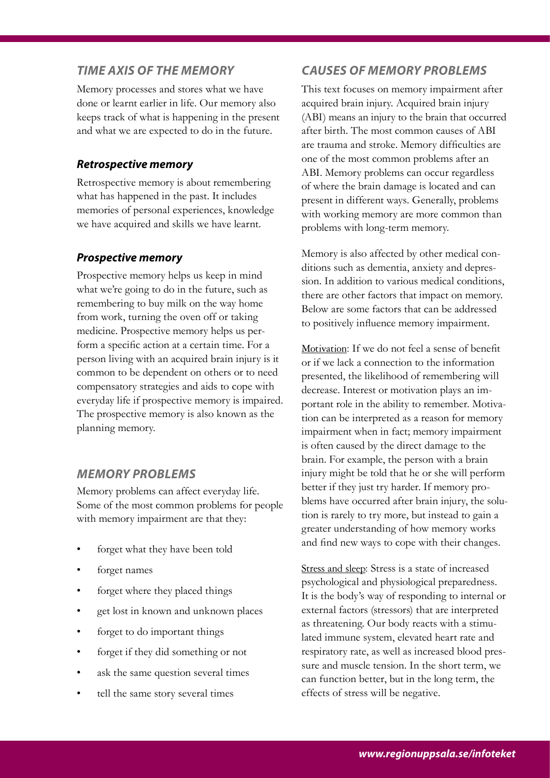### *TIME AXIS OF THE MEMORY*

Memory processes and stores what we have done or learnt earlier in life. Our memory also keeps track of what is happening in the present and what we are expected to do in the future.

#### *Retrospective memory*

Retrospective memory is about remembering what has happened in the past. It includes memories of personal experiences, knowledge we have acquired and skills we have learnt.

### *Prospective memory*

Prospective memory helps us keep in mind what we're going to do in the future, such as remembering to buy milk on the way home from work, turning the oven off or taking medicine. Prospective memory helps us perform a specific action at a certain time. For a person living with an acquired brain injury is it common to be dependent on others or to need compensatory strategies and aids to cope with everyday life if prospective memory is impaired. The prospective memory is also known as the planning memory.

# *MEMORY PROBLEMS*

Memory problems can affect everyday life. Some of the most common problems for people with memory impairment are that they:

- forget what they have been told
- forget names
- forget where they placed things
- get lost in known and unknown places
- forget to do important things
- forget if they did something or not
- ask the same question several times
- tell the same story several times

#### *CAUSES OF MEMORY PROBLEMS*

This text focuses on memory impairment after acquired brain injury. Acquired brain injury (ABI) means an injury to the brain that occurred after birth. The most common causes of ABI are trauma and stroke. Memory difficulties are one of the most common problems after an ABI. Memory problems can occur regardless of where the brain damage is located and can present in different ways. Generally, problems with working memory are more common than problems with long-term memory.

Memory is also affected by other medical conditions such as dementia, anxiety and depression. In addition to various medical conditions, there are other factors that impact on memory. Below are some factors that can be addressed to positively influence memory impairment.

Motivation: If we do not feel a sense of benefit or if we lack a connection to the information presented, the likelihood of remembering will decrease. Interest or motivation plays an important role in the ability to remember. Motivation can be interpreted as a reason for memory impairment when in fact; memory impairment is often caused by the direct damage to the brain. For example, the person with a brain injury might be told that he or she will perform better if they just try harder. If memory problems have occurred after brain injury, the solution is rarely to try more, but instead to gain a greater understanding of how memory works and find new ways to cope with their changes.

Stress and sleep: Stress is a state of increased psychological and physiological preparedness. It is the body's way of responding to internal or external factors (stressors) that are interpreted as threatening. Our body reacts with a stimulated immune system, elevated heart rate and respiratory rate, as well as increased blood pressure and muscle tension. In the short term, we can function better, but in the long term, the effects of stress will be negative.

*www.lul.se/infoteket*